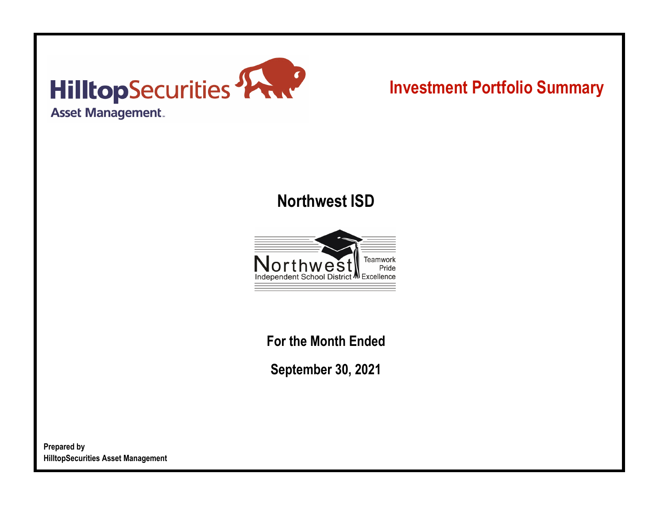

# **Investment Portfolio Summary**

## **Northwest ISD**



**For the Month Ended**

**September 30, 2021**

**Prepared by HilltopSecurities Asset Management**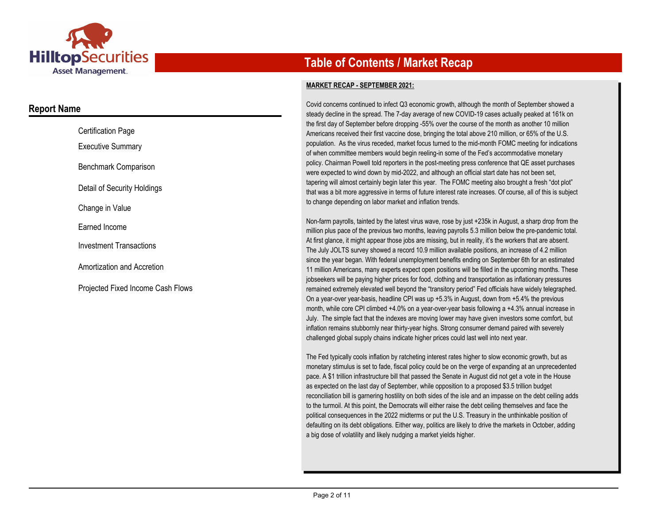

### **Report Name**

| <b>Certification Page</b>         |
|-----------------------------------|
| Executive Summary                 |
| Benchmark Comparison              |
| Detail of Security Holdings       |
| Change in Value                   |
| Earned Income                     |
| <b>Investment Transactions</b>    |
| Amortization and Accretion        |
| Proiected Fixed Income Cash Flows |

### **Table of Contents / Market Recap**

#### **MARKET RECAP - SEPTEMBER 2021:**

Covid concerns continued to infect Q3 economic growth, although the month of September showed a steady decline in the spread. The 7-day average of new COVID-19 cases actually peaked at 161k on the first day of September before dropping -55% over the course of the month as another 10 million Americans received their first vaccine dose, bringing the total above 210 million, or 65% of the U.S. population. As the virus receded, market focus turned to the mid-month FOMC meeting for indications of when committee members would begin reeling-in some of the Fed's accommodative monetary policy. Chairman Powell told reporters in the post-meeting press conference that QE asset purchases were expected to wind down by mid-2022, and although an official start date has not been set, tapering will almost certainly begin later this year. The FOMC meeting also brought a fresh "dot plot" that was a bit more aggressive in terms of future interest rate increases. Of course, all of this is subject to change depending on labor market and inflation trends.

Non-farm payrolls, tainted by the latest virus wave, rose by just +235k in August, a sharp drop from the million plus pace of the previous two months, leaving payrolls 5.3 million below the pre-pandemic total. At first glance, it might appear those jobs are missing, but in reality, it's the workers that are absent. The July JOLTS survey showed a record 10.9 million available positions, an increase of 4.2 million since the year began. With federal unemployment benefits ending on September 6th for an estimated 11 million Americans, many experts expect open positions will be filled in the upcoming months. These jobseekers will be paying higher prices for food, clothing and transportation as inflationary pressures remained extremely elevated well beyond the "transitory period" Fed officials have widely telegraphed. On a year-over year-basis, headline CPI was up +5.3% in August, down from +5.4% the previous month, while core CPI climbed +4.0% on a year-over-year basis following a +4.3% annual increase in July. The simple fact that the indexes are moving lower may have given investors some comfort, but inflation remains stubbornly near thirty-year highs. Strong consumer demand paired with severely challenged global supply chains indicate higher prices could last well into next year.

The Fed typically cools inflation by ratcheting interest rates higher to slow economic growth, but as monetary stimulus is set to fade, fiscal policy could be on the verge of expanding at an unprecedented pace. A \$1 trillion infrastructure bill that passed the Senate in August did not get a vote in the House as expected on the last day of September, while opposition to a proposed \$3.5 trillion budget reconciliation bill is garnering hostility on both sides of the isle and an impasse on the debt ceiling adds to the turmoil. At this point, the Democrats will either raise the debt ceiling themselves and face the political consequences in the 2022 midterms or put the U.S. Treasury in the unthinkable position of defaulting on its debt obligations. Either way, politics are likely to drive the markets in October, adding a big dose of volatility and likely nudging a market yields higher.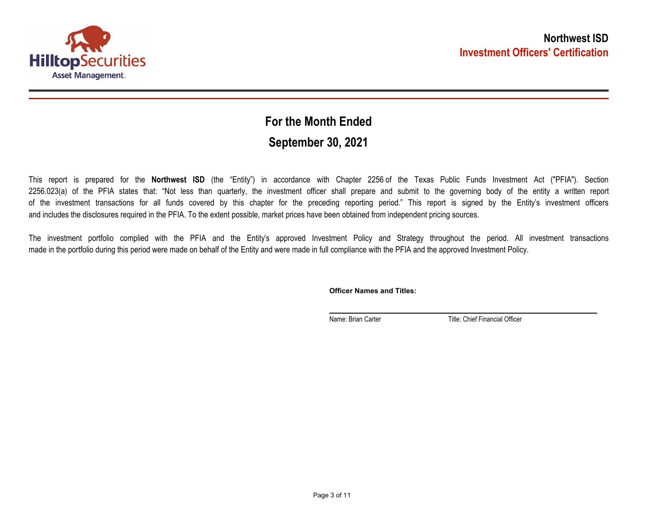

## **September 30, 2021 For the Month Ended**

This report is prepared for the **Northwest ISD** (the "Entity") in accordance with Chapter 2256 of the Texas Public Funds Investment Act ("PFIA"). Section 2256.023(a) of the PFIA states that: "Not less than quarterly, the investment officer shall prepare and submit to the governing body of the entity a written report of the investment transactions for all funds covered by this chapter for the preceding reporting period." This report is signed by the Entity's investment officers and includes the disclosures required in the PFIA. To the extent possible, market prices have been obtained from independent pricing sources.

The investment portfolio complied with the PFIA and the Entity's approved Investment Policy and Strategy throughout the period. All investment transactions made in the portfolio during this period were made on behalf of the Entity and were made in full compliance with the PFIA and the approved Investment Policy.

**Officer Names and Titles:**

Name: Brian Carter Title: Chief Financial Officer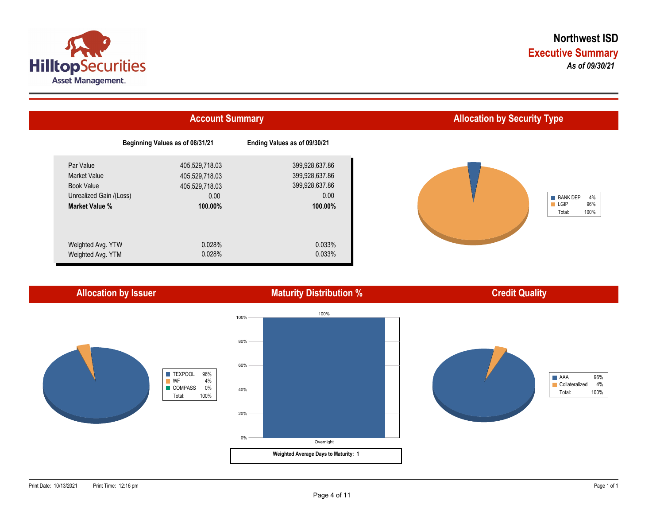



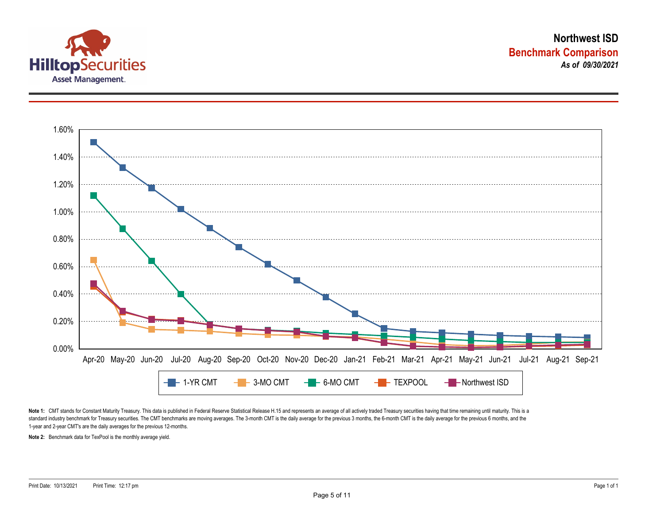



Note 1: CMT stands for Constant Maturity Treasury. This data is published in Federal Reserve Statistical Release H.15 and represents an average of all actively traded Treasury securities having that time remaining until ma standard industry benchmark for Treasury securities. The CMT benchmarks are moving averages. The 3-month CMT is the daily average for the previous 3 months, the 6-month CMT is the daily average for the previous 6 months, a 1-year and 2-year CMT's are the daily averages for the previous 12-months.

**Note 2:** Benchmark data for TexPool is the monthly average yield.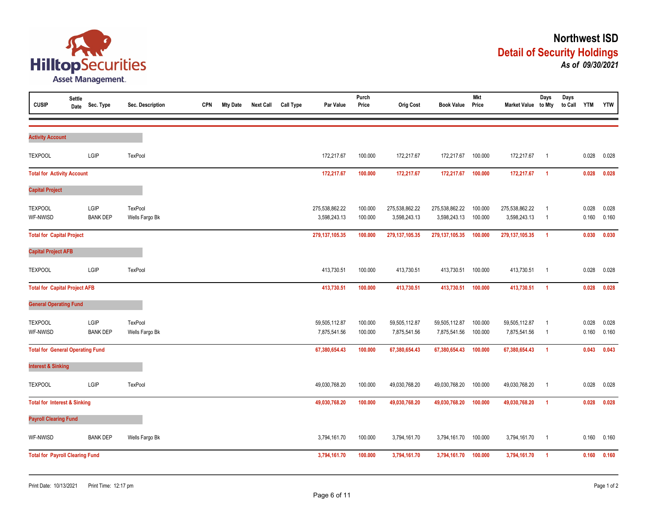

| <b>CUSIP</b>                            | Settle<br>Date | Sec. Type               | Sec. Description                 | <b>CPN</b> | <b>Mty Date</b> | <b>Next Call</b> | <b>Call Type</b> | Par Value                      | Purch<br>Price     | <b>Orig Cost</b>               | <b>Book Value</b>              | <b>Mkt</b><br>Price | Market Value to Mty            | Days                             | Days<br>to Call YTM |                | <b>YTW</b>     |
|-----------------------------------------|----------------|-------------------------|----------------------------------|------------|-----------------|------------------|------------------|--------------------------------|--------------------|--------------------------------|--------------------------------|---------------------|--------------------------------|----------------------------------|---------------------|----------------|----------------|
| <b>Activity Account</b>                 |                |                         |                                  |            |                 |                  |                  |                                |                    |                                |                                |                     |                                |                                  |                     |                |                |
| <b>TEXPOOL</b>                          |                | LGIP                    | <b>TexPool</b>                   |            |                 |                  |                  | 172,217.67                     | 100.000            | 172,217.67                     | 172,217.67                     | 100.000             | 172,217.67                     | $\overline{1}$                   |                     | 0.028          | 0.028          |
| <b>Total for Activity Account</b>       |                |                         |                                  |            |                 |                  |                  | 172,217.67                     | 100.000            | 172,217.67                     | 172,217.67                     | 100.000             | 172,217.67                     | $\overline{1}$                   |                     | 0.028          | 0.028          |
| <b>Capital Project</b>                  |                |                         |                                  |            |                 |                  |                  |                                |                    |                                |                                |                     |                                |                                  |                     |                |                |
| <b>TEXPOOL</b><br>WF-NWISD              |                | LGIP<br><b>BANK DEP</b> | <b>TexPool</b><br>Wells Fargo Bk |            |                 |                  |                  | 275,538,862.22<br>3,598,243.13 | 100.000<br>100.000 | 275,538,862.22<br>3,598,243.13 | 275,538,862.22<br>3,598,243.13 | 100.000<br>100.000  | 275,538,862.22<br>3,598,243.13 | $\overline{1}$<br>$\overline{1}$ |                     | 0.028<br>0.160 | 0.028<br>0.160 |
| <b>Total for Capital Project</b>        |                |                         |                                  |            |                 |                  |                  | 279,137,105.35                 | 100.000            | 279, 137, 105.35               | 279, 137, 105.35               | 100.000             | 279, 137, 105.35               | $\overline{1}$                   |                     | 0.030          | 0.030          |
| <b>Capital Project AFB</b>              |                |                         |                                  |            |                 |                  |                  |                                |                    |                                |                                |                     |                                |                                  |                     |                |                |
| <b>TEXPOOL</b>                          |                | LGIP                    | TexPool                          |            |                 |                  |                  | 413,730.51                     | 100.000            | 413,730.51                     | 413,730.51                     | 100.000             | 413,730.51                     | $\overline{1}$                   |                     | 0.028          | 0.028          |
| <b>Total for Capital Project AFB</b>    |                |                         |                                  |            |                 |                  |                  | 413,730.51                     | 100.000            | 413,730.51                     | 413,730.51                     | 100.000             | 413,730.51                     | $\overline{1}$                   |                     | 0.028          | 0.028          |
| <b>General Operating Fund</b>           |                |                         |                                  |            |                 |                  |                  |                                |                    |                                |                                |                     |                                |                                  |                     |                |                |
| <b>TEXPOOL</b><br>WF-NWISD              |                | LGIP<br><b>BANK DEP</b> | TexPool<br>Wells Fargo Bk        |            |                 |                  |                  | 59,505,112.87<br>7,875,541.56  | 100.000<br>100.000 | 59,505,112.87<br>7,875,541.56  | 59,505,112.87<br>7,875,541.56  | 100.000<br>100.000  | 59,505,112.87<br>7,875,541.56  | $\overline{1}$<br>$\overline{1}$ |                     | 0.028<br>0.160 | 0.028<br>0.160 |
| <b>Total for General Operating Fund</b> |                |                         |                                  |            |                 |                  |                  | 67,380,654.43                  | 100.000            | 67,380,654.43                  | 67,380,654.43                  | 100.000             | 67,380,654.43                  | $\overline{1}$                   |                     | 0.043          | 0.043          |
| <b>Interest &amp; Sinking</b>           |                |                         |                                  |            |                 |                  |                  |                                |                    |                                |                                |                     |                                |                                  |                     |                |                |
| <b>TEXPOOL</b>                          |                | LGIP                    | TexPool                          |            |                 |                  |                  | 49,030,768.20                  | 100.000            | 49,030,768.20                  | 49,030,768.20                  | 100.000             | 49,030,768.20                  | $\overline{1}$                   |                     | 0.028          | 0.028          |
| <b>Total for Interest &amp; Sinking</b> |                |                         |                                  |            |                 |                  |                  | 49,030,768.20                  | 100.000            | 49,030,768.20                  | 49,030,768.20                  | 100.000             | 49,030,768.20                  | $\overline{1}$                   |                     | 0.028          | 0.028          |
| <b>Payroll Clearing Fund</b>            |                |                         |                                  |            |                 |                  |                  |                                |                    |                                |                                |                     |                                |                                  |                     |                |                |
| WF-NWISD                                |                | <b>BANK DEP</b>         | Wells Fargo Bk                   |            |                 |                  |                  | 3,794,161.70                   | 100.000            | 3,794,161.70                   | 3,794,161.70                   | 100.000             | 3,794,161.70                   | $\overline{1}$                   |                     | 0.160          | 0.160          |
| <b>Total for Payroll Clearing Fund</b>  |                |                         |                                  |            |                 |                  |                  | 3,794,161.70                   | 100.000            | 3,794,161.70                   | 3,794,161.70                   | 100.000             | 3,794,161.70                   | $\overline{1}$                   |                     | 0.160          | 0.160          |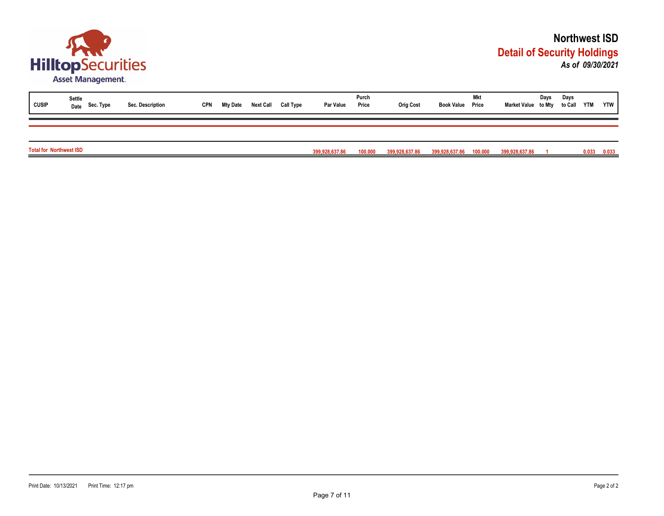

| <b>CUSIP</b>                   | Settle<br>Date Sec. Type | Sec. Description | <b>CPN</b> | Mty Date | <b>Next Call</b> | Call Type | Par Value      | Purch<br>Price | <b>Orig Cost</b> | <b>Book Value Price</b> | Mkt | Market Value to Mty | Days | Days<br>to Call YTM |       | <b>YTW</b> |
|--------------------------------|--------------------------|------------------|------------|----------|------------------|-----------|----------------|----------------|------------------|-------------------------|-----|---------------------|------|---------------------|-------|------------|
|                                |                          |                  |            |          |                  |           |                |                |                  |                         |     |                     |      |                     |       |            |
| <b>Total for Northwest ISD</b> |                          |                  |            |          |                  |           | 399,928,637.86 | 100.000        | 399,928,637.86   | 399,928,637.86 100.000  |     | 399,928,637.86      |      |                     | 0.033 | 0.033      |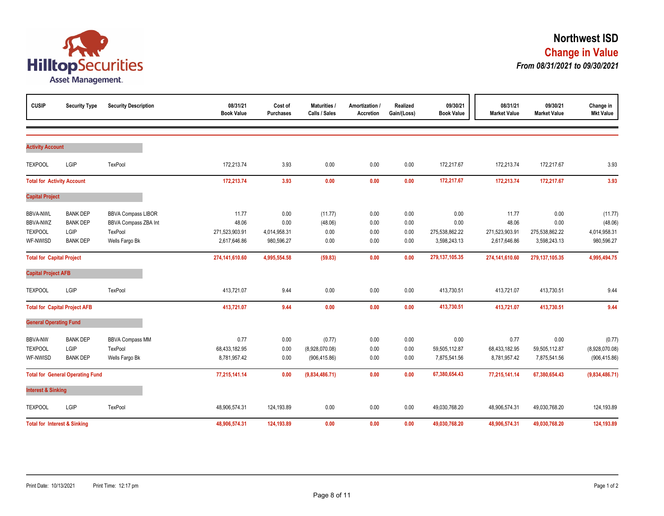

| <b>CUSIP</b>                            | <b>Security Type</b>                    | <b>Security Description</b>                              | 08/31/21<br><b>Book Value</b>  | Cost of<br><b>Purchases</b> | Maturities<br>Calls / Sales | Amortization /<br><b>Accretion</b> | Realized<br>Gain/(Loss) | 09/30/21<br><b>Book Value</b>  | 08/31/21<br><b>Market Value</b> | 09/30/21<br><b>Market Value</b> | Change in<br><b>Mkt Value</b> |
|-----------------------------------------|-----------------------------------------|----------------------------------------------------------|--------------------------------|-----------------------------|-----------------------------|------------------------------------|-------------------------|--------------------------------|---------------------------------|---------------------------------|-------------------------------|
|                                         |                                         |                                                          |                                |                             |                             |                                    |                         |                                |                                 |                                 |                               |
| <b>Activity Account</b>                 |                                         |                                                          |                                |                             |                             |                                    |                         |                                |                                 |                                 |                               |
| <b>TEXPOOL</b>                          | LGIP                                    | TexPool                                                  | 172,213.74                     | 3.93                        | 0.00                        | 0.00                               | 0.00                    | 172,217.67                     | 172,213.74                      | 172,217.67                      | 3.93                          |
| <b>Total for Activity Account</b>       |                                         |                                                          | 172,213.74                     | 3.93                        | 0.00                        | 0.00                               | 0.00                    | 172,217.67                     | 172,213.74                      | 172,217.67                      | 3.93                          |
| <b>Capital Project</b>                  |                                         |                                                          |                                |                             |                             |                                    |                         |                                |                                 |                                 |                               |
| <b>BBVA-NWL</b><br><b>BBVA-NWZ</b>      | <b>BANK DEP</b><br><b>BANK DEP</b>      | <b>BBVA Compass LIBOR</b><br><b>BBVA Compass ZBA Int</b> | 11.77<br>48.06                 | 0.00<br>0.00                | (11.77)<br>(48.06)          | 0.00<br>0.00                       | 0.00<br>0.00            | 0.00<br>0.00                   | 11.77<br>48.06                  | 0.00<br>0.00                    | (11.77)<br>(48.06)            |
| <b>TEXPOOL</b><br>WF-NWISD              | LGIP<br><b>BANK DEP</b>                 | TexPool<br>Wells Fargo Bk                                | 271,523,903.91<br>2,617,646.86 | 4,014,958.31<br>980,596.27  | 0.00<br>0.00                | 0.00<br>0.00                       | 0.00<br>0.00            | 275,538,862.22<br>3,598,243.13 | 271,523,903.91<br>2,617,646.86  | 275,538,862.22<br>3,598,243.13  | 4,014,958.31<br>980,596.27    |
| <b>Total for Capital Project</b>        |                                         |                                                          | 274,141,610.60                 | 4,995,554.58                | (59.83)                     | 0.00                               | 0.00                    | 279,137,105.35                 | 274,141,610.60                  | 279, 137, 105.35                | 4,995,494.75                  |
| <b>Capital Project AFB</b>              |                                         |                                                          |                                |                             |                             |                                    |                         |                                |                                 |                                 |                               |
| <b>TEXPOOL</b>                          | LGIP                                    | TexPool                                                  | 413,721.07                     | 9.44                        | 0.00                        | 0.00                               | 0.00                    | 413,730.51                     | 413,721.07                      | 413,730.51                      | 9.44                          |
|                                         | <b>Total for Capital Project AFB</b>    |                                                          | 413,721.07                     | 9.44                        | 0.00                        | 0.00                               | 0.00                    | 413,730.51                     | 413,721.07                      | 413,730.51                      | 9.44                          |
| <b>General Operating Fund</b>           |                                         |                                                          |                                |                             |                             |                                    |                         |                                |                                 |                                 |                               |
| <b>BBVA-NW</b><br><b>TEXPOOL</b>        | <b>BANK DEP</b><br>LGIP                 | <b>BBVA Compass MM</b><br>TexPool                        | 0.77<br>68,433,182.95          | 0.00<br>0.00                | (0.77)<br>(8,928,070.08)    | 0.00<br>0.00                       | 0.00<br>0.00            | 0.00<br>59,505,112.87          | 0.77<br>68,433,182.95           | 0.00<br>59,505,112.87           | (0.77)<br>(8,928,070.08)      |
| WF-NWISD                                | <b>BANK DEP</b>                         | Wells Fargo Bk                                           | 8,781,957.42                   | 0.00                        | (906, 415.86)               | 0.00                               | 0.00                    | 7,875,541.56                   | 8,781,957.42                    | 7,875,541.56                    | (906, 415.86)                 |
| <b>Total for General Operating Fund</b> |                                         | 77,215,141.14                                            | 0.00                           | (9,834,486.71)              | 0.00                        | 0.00                               | 67,380,654.43           | 77,215,141.14                  | 67,380,654.43                   | (9,834,486.71)                  |                               |
| <b>Interest &amp; Sinking</b>           |                                         |                                                          |                                |                             |                             |                                    |                         |                                |                                 |                                 |                               |
| <b>TEXPOOL</b>                          | LGIP                                    | TexPool                                                  | 48,906,574.31                  | 124,193.89                  | 0.00                        | 0.00                               | 0.00                    | 49,030,768.20                  | 48,906,574.31                   | 49,030,768.20                   | 124,193.89                    |
|                                         | <b>Total for Interest &amp; Sinking</b> |                                                          | 48,906,574.31                  | 124,193.89                  | 0.00                        | 0.00                               | 0.00                    | 49,030,768.20                  | 48,906,574.31                   | 49,030,768.20                   | 124,193.89                    |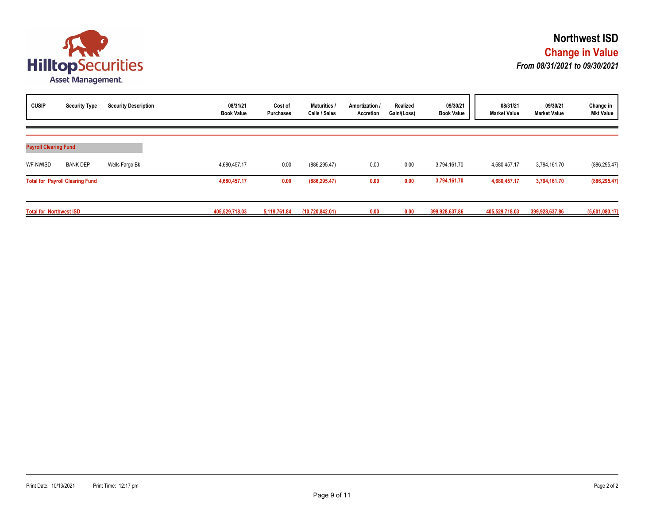

| <b>CUSIP</b>                   | <b>Security Type</b>                   | <b>Security Description</b> | 08/31/21<br><b>Book Value</b> | Cost of<br><b>Purchases</b> | Maturities /<br>Calls / Sales | Amortization /<br>Accretion | Realized<br>Gain/(Loss) | 09/30/21<br><b>Book Value</b> | 08/31/21<br><b>Market Value</b> | 09/30/21<br><b>Market Value</b> | Change in<br><b>Mkt Value</b> |
|--------------------------------|----------------------------------------|-----------------------------|-------------------------------|-----------------------------|-------------------------------|-----------------------------|-------------------------|-------------------------------|---------------------------------|---------------------------------|-------------------------------|
| <b>Payroll Clearing Fund</b>   |                                        |                             |                               |                             |                               |                             |                         |                               |                                 |                                 |                               |
| WF-NWISD                       | <b>BANK DEP</b>                        | Wells Fargo Bk              | 4,680,457.17                  | 0.00                        | (886, 295.47)                 | 0.00                        | 0.00                    | 3,794,161.70                  | 4,680,457.17                    | 3,794,161.70                    | (886, 295.47)                 |
|                                | <b>Total for Payroll Clearing Fund</b> |                             | 4,680,457.17                  | 0.00                        | (886, 295.47)                 | 0.00                        | 0.00                    | 3,794,161.70                  | 4,680,457.17                    | 3,794,161.70                    | (886, 295.47)                 |
| <b>Total for Northwest ISD</b> |                                        |                             | 405.529.718.03                | 5.119.761.84                | (10, 720, 842.01)             | 0.00                        | 0.00                    | 399,928,637.86                | 405,529,718.03                  | 399,928,637.86                  | (5,601,080.17)                |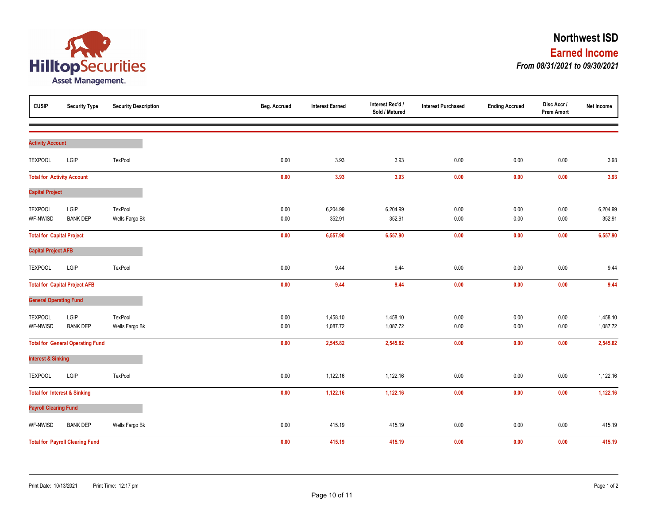

| <b>CUSIP</b>                      | <b>Security Type</b>                    | <b>Security Description</b> | Beg. Accrued | <b>Interest Earned</b> | Interest Rec'd /<br>Sold / Matured | <b>Interest Purchased</b> | <b>Ending Accrued</b> | Disc Accr /<br><b>Prem Amort</b> | Net Income |
|-----------------------------------|-----------------------------------------|-----------------------------|--------------|------------------------|------------------------------------|---------------------------|-----------------------|----------------------------------|------------|
| <b>Activity Account</b>           |                                         |                             |              |                        |                                    |                           |                       |                                  |            |
|                                   |                                         |                             |              |                        |                                    |                           |                       |                                  |            |
| <b>TEXPOOL</b>                    | LGIP                                    | TexPool                     | 0.00         | 3.93                   | 3.93                               | 0.00                      | 0.00                  | 0.00                             | 3.93       |
| <b>Total for Activity Account</b> |                                         |                             | 0.00         | 3.93                   | 3.93                               | 0.00                      | 0.00                  | 0.00                             | 3.93       |
| <b>Capital Project</b>            |                                         |                             |              |                        |                                    |                           |                       |                                  |            |
| <b>TEXPOOL</b>                    | LGIP                                    | TexPool                     | 0.00         | 6,204.99               | 6,204.99                           | 0.00                      | 0.00                  | 0.00                             | 6,204.99   |
| WF-NWISD                          | <b>BANK DEP</b>                         | Wells Fargo Bk              | 0.00         | 352.91                 | 352.91                             | 0.00                      | 0.00                  | 0.00                             | 352.91     |
| <b>Total for Capital Project</b>  |                                         |                             | 0.00         | 6,557.90               | 6,557.90                           | 0.00                      | 0.00                  | 0.00                             | 6,557.90   |
| <b>Capital Project AFB</b>        |                                         |                             |              |                        |                                    |                           |                       |                                  |            |
| <b>TEXPOOL</b>                    | LGIP                                    | TexPool                     | 0.00         | 9.44                   | 9.44                               | 0.00                      | 0.00                  | 0.00                             | 9.44       |
|                                   | <b>Total for Capital Project AFB</b>    |                             | 0.00         | 9.44                   | 9.44                               | 0.00                      | 0.00                  | 0.00                             | 9.44       |
| <b>General Operating Fund</b>     |                                         |                             |              |                        |                                    |                           |                       |                                  |            |
| <b>TEXPOOL</b>                    | LGIP                                    | TexPool                     | 0.00         | 1,458.10               | 1,458.10                           | 0.00                      | 0.00                  | 0.00                             | 1,458.10   |
| WF-NWISD                          | <b>BANK DEP</b>                         | Wells Fargo Bk              | 0.00         | 1,087.72               | 1,087.72                           | 0.00                      | 0.00                  | $0.00\,$                         | 1,087.72   |
|                                   | <b>Total for General Operating Fund</b> |                             | 0.00         | 2,545.82               | 2,545.82                           | 0.00                      | 0.00                  | 0.00                             | 2,545.82   |
| <b>Interest &amp; Sinking</b>     |                                         |                             |              |                        |                                    |                           |                       |                                  |            |
| <b>TEXPOOL</b>                    | LGIP                                    | TexPool                     | 0.00         | 1,122.16               | 1,122.16                           | 0.00                      | 0.00                  | 0.00                             | 1,122.16   |
|                                   | <b>Total for Interest &amp; Sinking</b> |                             | 0.00         | 1,122.16               | 1,122.16                           | 0.00                      | 0.00                  | 0.00                             | 1,122.16   |
| <b>Payroll Clearing Fund</b>      |                                         |                             |              |                        |                                    |                           |                       |                                  |            |
| WF-NWISD                          | <b>BANK DEP</b>                         | Wells Fargo Bk              | 0.00         | 415.19                 | 415.19                             | 0.00                      | 0.00                  | 0.00                             | 415.19     |
|                                   | <b>Total for Payroll Clearing Fund</b>  |                             | 0.00         | 415.19                 | 415.19                             | 0.00                      | 0.00                  | $0.00\,$                         | 415.19     |